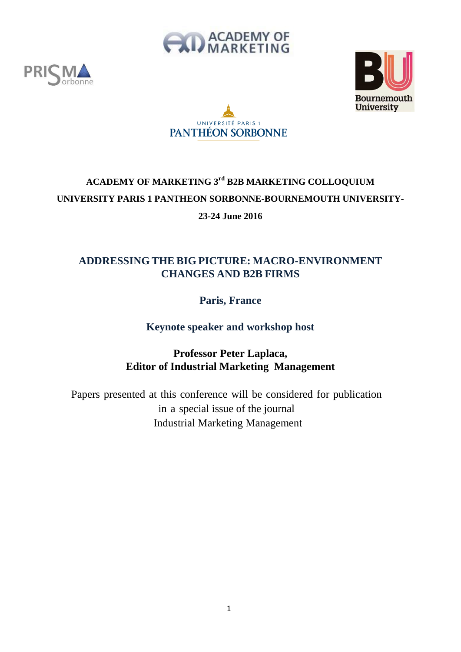







# **ACADEMY OF MARKETING 3rd B2B MARKETING COLLOQUIUM UNIVERSITY PARIS 1 PANTHEON SORBONNE-BOURNEMOUTH UNIVERSITY-23-24 June 2016**

## **ADDRESSING THE BIG PICTURE: MACRO-ENVIRONMENT CHANGES AND B2B FIRMS**

## **Paris, France**

## **Keynote speaker and workshop host**

## **Professor Peter Laplaca, Editor of Industrial Marketing Management**

Papers presented at this conference will be considered for publication in a special issue of the journal Industrial Marketing Management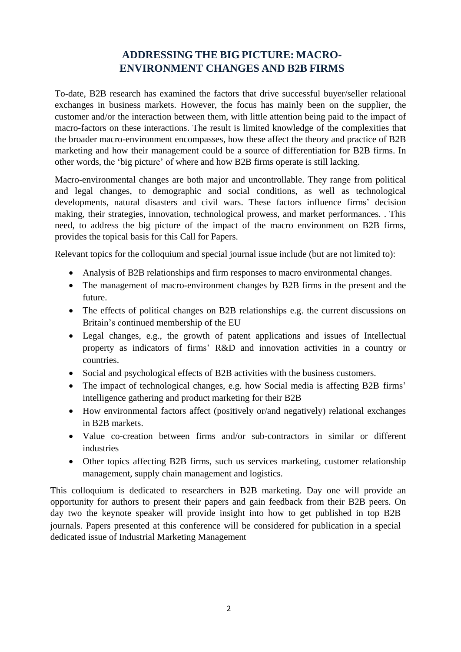## **ADDRESSING THE BIG PICTURE: MACRO-ENVIRONMENT CHANGES AND B2B FIRMS**

To-date, B2B research has examined the factors that drive successful buyer/seller relational exchanges in business markets. However, the focus has mainly been on the supplier, the customer and/or the interaction between them, with little attention being paid to the impact of macro-factors on these interactions. The result is limited knowledge of the complexities that the broader macro-environment encompasses, how these affect the theory and practice of B2B marketing and how their management could be a source of differentiation for B2B firms. In other words, the 'big picture' of where and how B2B firms operate is still lacking.

Macro-environmental changes are both major and uncontrollable. They range from political and legal changes, to demographic and social conditions, as well as technological developments, natural disasters and civil wars. These factors influence firms' decision making, their strategies, innovation, technological prowess, and market performances. . This need, to address the big picture of the impact of the macro environment on B2B firms, provides the topical basis for this Call for Papers.

Relevant topics for the colloquium and special journal issue include (but are not limited to):

- Analysis of B2B relationships and firm responses to macro environmental changes.
- The management of macro-environment changes by B2B firms in the present and the future.
- The effects of political changes on B2B relationships e.g. the current discussions on Britain's continued membership of the EU
- Legal changes, e.g., the growth of patent applications and issues of Intellectual property as indicators of firms' R&D and innovation activities in a country or countries.
- Social and psychological effects of B2B activities with the business customers.
- The impact of technological changes, e.g. how Social media is affecting B2B firms' intelligence gathering and product marketing for their B2B
- How environmental factors affect (positively or/and negatively) relational exchanges in B2B markets.
- Value co-creation between firms and/or sub-contractors in similar or different industries
- Other topics affecting B2B firms, such us services marketing, customer relationship management, supply chain management and logistics.

This colloquium is dedicated to researchers in B2B marketing. Day one will provide an opportunity for authors to present their papers and gain feedback from their B2B peers. On day two the keynote speaker will provide insight into how to get published in top B2B journals. Papers presented at this conference will be considered for publication in a special dedicated issue of Industrial Marketing Management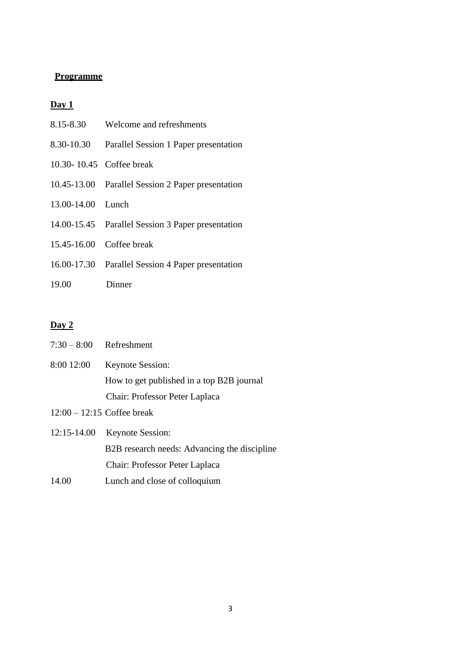### **Programme**

### **Day 1**

| 8.15-8.30         | Welcome and refreshments                          |
|-------------------|---------------------------------------------------|
| 8.30-10.30        | Parallel Session 1 Paper presentation             |
|                   | 10.30-10.45 Coffee break                          |
|                   | 10.45-13.00 Parallel Session 2 Paper presentation |
| 13.00-14.00 Lunch |                                                   |
|                   | 14.00-15.45 Parallel Session 3 Paper presentation |
|                   | 15.45-16.00 Coffee break                          |
|                   | 16.00-17.30 Parallel Session 4 Paper presentation |
| 19.00             | Dinner                                            |

## **Day 2**

| $7:30-8:00$ Refreshment      |                                              |
|------------------------------|----------------------------------------------|
| 8:00 12:00                   | <b>Keynote Session:</b>                      |
|                              | How to get published in a top B2B journal    |
|                              | Chair: Professor Peter Laplaca               |
| $12:00 - 12:15$ Coffee break |                                              |
| 12:15-14.00                  | <b>Keynote Session:</b>                      |
|                              | B2B research needs: Advancing the discipline |
|                              | Chair: Professor Peter Laplaca               |
| 14.00                        | Lunch and close of colloquium                |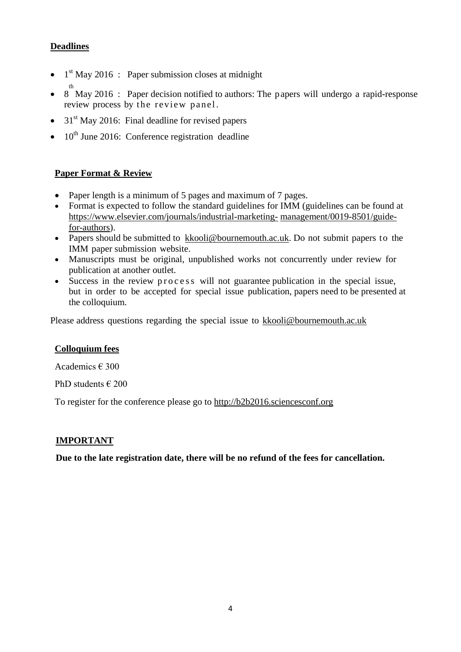### **Deadlines**

- $\bullet$  1<sup>st</sup> May 2016 : Paper submission closes at midnight
- $\bullet$  8 May 2016 : Paper decision notified to authors: The papers will undergo a rapid-response review process by the review panel.
- $\bullet$  31<sup>st</sup> May 2016: Final deadline for revised papers
- $\bullet$  10<sup>th</sup> June 2016: Conference registration deadline

### **Paper Format & Review**

- Paper length is a minimum of 5 pages and maximum of 7 pages.
- Format is expected to follow the standard guidelines for IMM (guidelines can be found at [https://www.elsevier.com/journals/industrial-marketing-](https://www.elsevier.com/journals/industrial-marketing-management/0019-8501/guide-for-authors) [management/0019-8501/guide](https://www.elsevier.com/journals/industrial-marketing-management/0019-8501/guide-for-authors)[for-authors\)](https://www.elsevier.com/journals/industrial-marketing-management/0019-8501/guide-for-authors).
- Papers should be submitted to [kkooli@bournemouth.ac.uk.](mailto:kkooli@bournemouth.ac.uk) Do not submit papers to the IMM paper submission website.
- Manuscripts must be original, unpublished works not concurrently under review for publication at another outlet.
- Success in the review process will not guarantee publication in the special issue, but in order to be accepted for special issue publication, papers need to be presented at the colloquium.

Please address questions regarding the special issue to [kkooli@bournemouth.ac.uk](mailto:kkooli@bournemouth.ac.uk)

### **Colloquium fees**

Academics € 300

PhD students  $\in$  200

To register for the conference please go to [http://b2b2016.sciencesconf.org](http://b2b2016.sciencesconf.org/)

### **IMPORTANT**

**Due to the late registration date, there will be no refund of the fees for cancellation.**